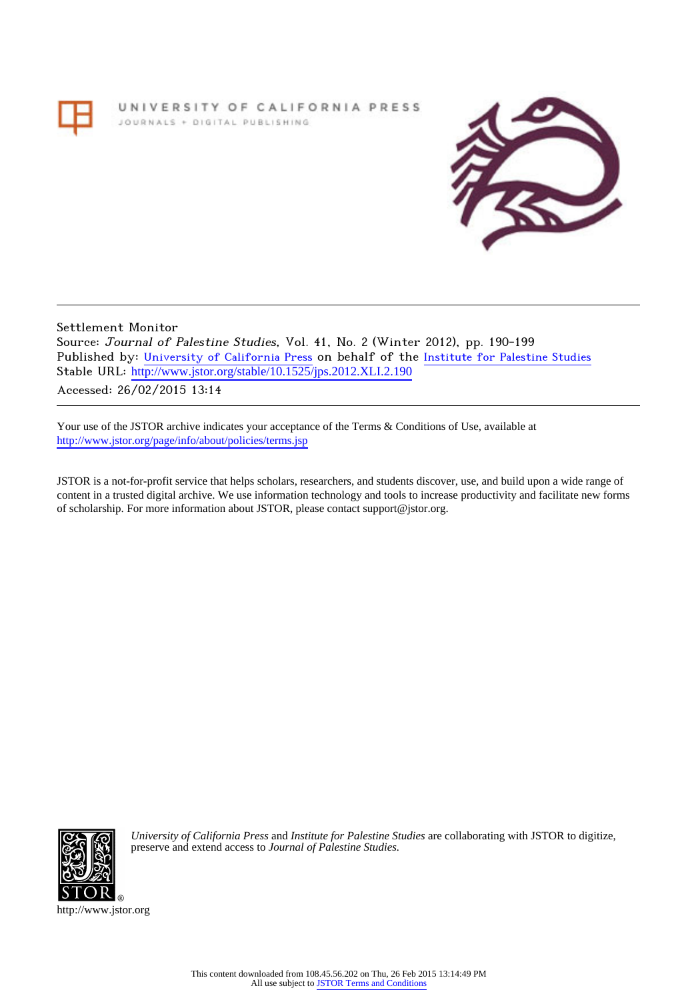## UNIVERSITY OF CALIFORNIA PRESS JOURNALS + DIGITAL PUBLISHING



Settlement Monitor Source: Journal of Palestine Studies, Vol. 41, No. 2 (Winter 2012), pp. 190-199 Published by: [University of California Press](http://www.jstor.org/action/showPublisher?publisherCode=ucal) on behalf of the [Institute for Palestine Studies](http://www.jstor.org/action/showPublisher?publisherCode=palstud) Stable URL: http://www.jstor.org/stable/10.1525/jps.2012.XLI.2.190 Accessed: 26/02/2015 13:14

Your use of the JSTOR archive indicates your acceptance of the Terms & Conditions of Use, available at <http://www.jstor.org/page/info/about/policies/terms.jsp>

JSTOR is a not-for-profit service that helps scholars, researchers, and students discover, use, and build upon a wide range of content in a trusted digital archive. We use information technology and tools to increase productivity and facilitate new forms of scholarship. For more information about JSTOR, please contact support@jstor.org.



*University of California Press* and *Institute for Palestine Studies* are collaborating with JSTOR to digitize, preserve and extend access to *Journal of Palestine Studies.*

http://www.jstor.org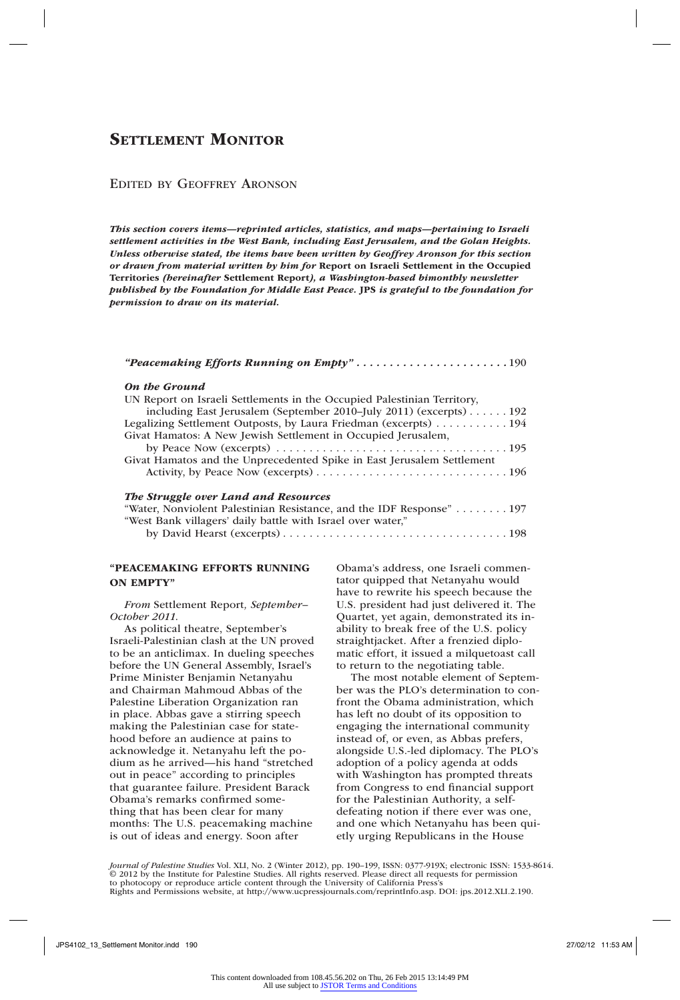## Edited by Geoffrey Aronson

*This section covers items—reprinted articles, statistics, and maps—pertaining to Israeli settlement activities in the West Bank, including East Jerusalem, and the Golan Heights. Unless otherwise stated, the items have been written by Geoffrey Aronson for this section or drawn from material written by him for* Report on Israeli Settlement in the Occupied Territories *(hereinafter* Settlement Report*), a Washington-based bimonthly newsletter published by the Foundation for Middle East Peace.* JPS *is grateful to the foundation for permission to draw on its material.*

|--|--|--|--|--|--|--|--|--|

#### *On the Ground*

| UN Report on Israeli Settlements in the Occupied Palestinian Territory, |
|-------------------------------------------------------------------------|
| including East Jerusalem (September 2010–July 2011) (excerpts) 192      |
| Legalizing Settlement Outposts, by Laura Friedman (excerpts) 194        |
| Givat Hamatos: A New Jewish Settlement in Occupied Jerusalem,           |
|                                                                         |
| Givat Hamatos and the Unprecedented Spike in East Jerusalem Settlement  |
| The Struggle over Land and Resources                                    |
| "Water, Nonviolent Palestinian Resistance, and the IDF Response"  197   |
| "West Bank villagers' daily battle with Israel over water,"             |

by David Hearst (excerpts). . 198

## "PEACEMAKING EFFORTS RUNNING ON EMPTY"

*From* Settlement Report*, September– October 2011*.

As political theatre, September's Israeli-Palestinian clash at the UN proved to be an anticlimax. In dueling speeches before the UN General Assembly, Israel's Prime Minister Benjamin Netanyahu and Chairman Mahmoud Abbas of the Palestine Liberation Organization ran in place. Abbas gave a stirring speech making the Palestinian case for statehood before an audience at pains to acknowledge it. Netanyahu left the podium as he arrived—his hand "stretched out in peace" according to principles that guarantee failure. President Barack Obama's remarks confirmed something that has been clear for many months: The U.S. peacemaking machine is out of ideas and energy. Soon after

Obama's address, one Israeli commentator quipped that Netanyahu would have to rewrite his speech because the U.S. president had just delivered it. The Quartet, yet again, demonstrated its inability to break free of the U.S. policy straightjacket. After a frenzied diplomatic effort, it issued a milquetoast call to return to the negotiating table.

The most notable element of September was the PLO's determination to confront the Obama administration, which has left no doubt of its opposition to engaging the international community instead of, or even, as Abbas prefers, alongside U.S.-led diplomacy. The PLO's adoption of a policy agenda at odds with Washington has prompted threats from Congress to end financial support for the Palestinian Authority, a selfdefeating notion if there ever was one, and one which Netanyahu has been quietly urging Republicans in the House

*Journal of Palestine Studies* Vol. XLI, No. 2 (Winter 2012), pp. 190–199, ISSN: 0377-919X; electronic ISSN: 1533-8614. © 2012 by the Institute for Palestine Studies. All rights reserved. Please direct all requests for pe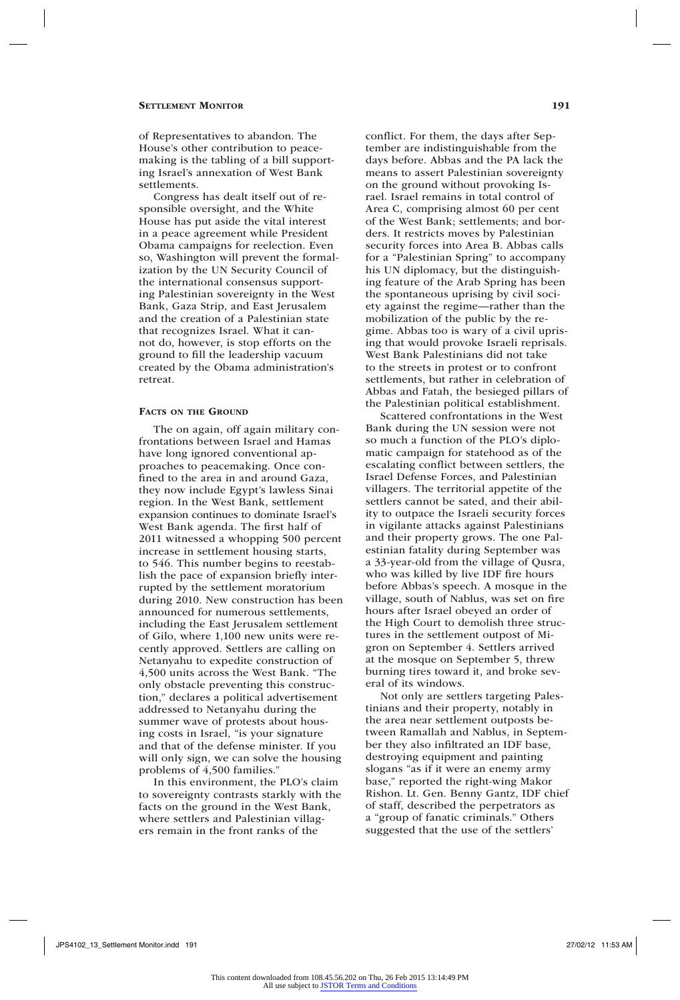of Representatives to abandon. The House's other contribution to peacemaking is the tabling of a bill supporting Israel's annexation of West Bank settlements.

Congress has dealt itself out of responsible oversight, and the White House has put aside the vital interest in a peace agreement while President Obama campaigns for reelection. Even so, Washington will prevent the formalization by the UN Security Council of the international consensus supporting Palestinian sovereignty in the West Bank, Gaza Strip, and East Jerusalem and the creation of a Palestinian state that recognizes Israel. What it cannot do, however, is stop efforts on the ground to fill the leadership vacuum created by the Obama administration's retreat.

#### FACTS ON THE GROUND

The on again, off again military confrontations between Israel and Hamas have long ignored conventional approaches to peacemaking. Once confined to the area in and around Gaza, they now include Egypt's lawless Sinai region. In the West Bank, settlement expansion continues to dominate Israel's West Bank agenda. The first half of 2011 witnessed a whopping 500 percent increase in settlement housing starts, to 546. This number begins to reestablish the pace of expansion briefly interrupted by the settlement moratorium during 2010. New construction has been announced for numerous settlements, including the East Jerusalem settlement of Gilo, where 1,100 new units were recently approved. Settlers are calling on Netanyahu to expedite construction of 4,500 units across the West Bank. "The only obstacle preventing this construction," declares a political advertisement addressed to Netanyahu during the summer wave of protests about housing costs in Israel, "is your signature and that of the defense minister. If you will only sign, we can solve the housing problems of 4,500 families."

In this environment, the PLO's claim to sovereignty contrasts starkly with the facts on the ground in the West Bank, where settlers and Palestinian villagers remain in the front ranks of the

conflict. For them, the days after September are indistinguishable from the days before. Abbas and the PA lack the means to assert Palestinian sovereignty on the ground without provoking Israel. Israel remains in total control of Area C, comprising almost 60 per cent of the West Bank; settlements; and borders. It restricts moves by Palestinian security forces into Area B. Abbas calls for a "Palestinian Spring" to accompany his UN diplomacy, but the distinguishing feature of the Arab Spring has been the spontaneous uprising by civil society against the regime—rather than the mobilization of the public by the regime. Abbas too is wary of a civil uprising that would provoke Israeli reprisals. West Bank Palestinians did not take to the streets in protest or to confront settlements, but rather in celebration of Abbas and Fatah, the besieged pillars of the Palestinian political establishment.

Scattered confrontations in the West Bank during the UN session were not so much a function of the PLO's diplomatic campaign for statehood as of the escalating conflict between settlers, the Israel Defense Forces, and Palestinian villagers. The territorial appetite of the settlers cannot be sated, and their ability to outpace the Israeli security forces in vigilante attacks against Palestinians and their property grows. The one Palestinian fatality during September was a 33-year-old from the village of Qusra, who was killed by live IDF fire hours before Abbas's speech. A mosque in the village, south of Nablus, was set on fire hours after Israel obeyed an order of the High Court to demolish three structures in the settlement outpost of Migron on September 4. Settlers arrived at the mosque on September 5, threw burning tires toward it, and broke several of its windows.

Not only are settlers targeting Palestinians and their property, notably in the area near settlement outposts between Ramallah and Nablus, in September they also infiltrated an IDF base, destroying equipment and painting slogans "as if it were an enemy army base," reported the right-wing Makor Rishon. Lt. Gen. Benny Gantz, IDF chief of staff, described the perpetrators as a "group of fanatic criminals." Others suggested that the use of the settlers'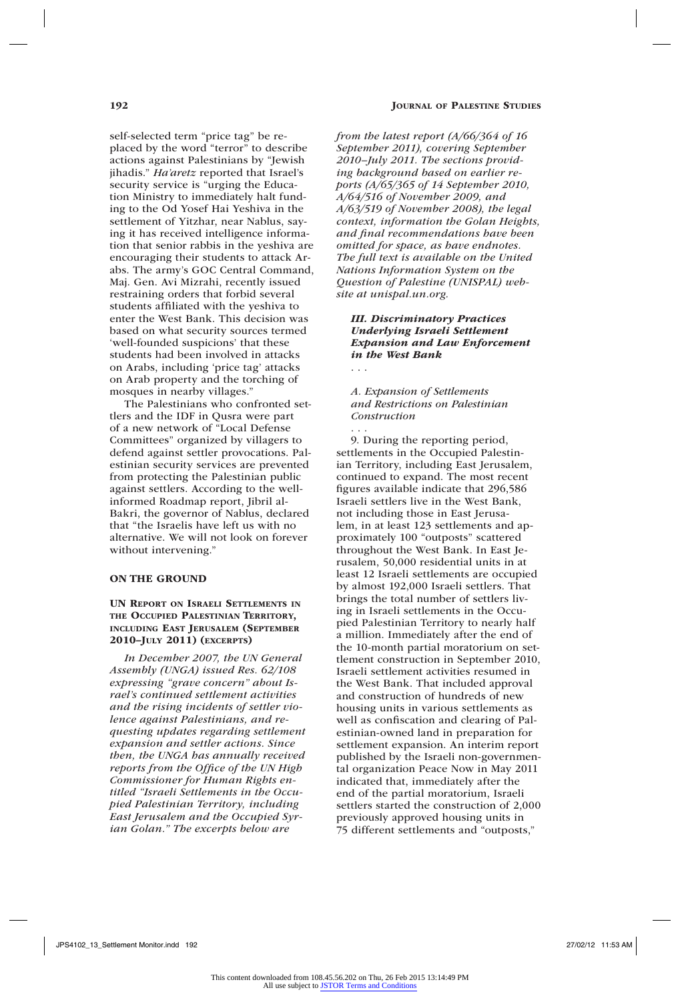self-selected term "price tag" be replaced by the word "terror" to describe actions against Palestinians by "Jewish jihadis." *Ha'aretz* reported that Israel's security service is "urging the Education Ministry to immediately halt funding to the Od Yosef Hai Yeshiva in the settlement of Yitzhar, near Nablus, saying it has received intelligence information that senior rabbis in the yeshiva are encouraging their students to attack Arabs. The army's GOC Central Command, Maj. Gen. Avi Mizrahi, recently issued restraining orders that forbid several students affiliated with the yeshiva to enter the West Bank. This decision was based on what security sources termed 'well-founded suspicions' that these students had been involved in attacks on Arabs, including 'price tag' attacks on Arab property and the torching of mosques in nearby villages."

The Palestinians who confronted settlers and the IDF in Qusra were part of a new network of "Local Defense Committees" organized by villagers to defend against settler provocations. Palestinian security services are prevented from protecting the Palestinian public against settlers. According to the wellinformed Roadmap report, Jibril al-Bakri, the governor of Nablus, declared that "the Israelis have left us with no alternative. We will not look on forever without intervening."

## ON THE GROUND

## UN Report on Israeli Settlements in the Occupied Palestinian Territory, including East Jerusalem (September 2010–July 2011) (excerpts)

*In December 2007, the UN General Assembly (UNGA) issued Res. 62/108 expressing "grave concern" about Israel's continued settlement activities and the rising incidents of settler violence against Palestinians, and requesting updates regarding settlement expansion and settler actions. Since then, the UNGA has annually received reports from the Office of the UN High Commissioner for Human Rights entitled "Israeli Settlements in the Occupied Palestinian Territory, including East Jerusalem and the Occupied Syrian Golan." The excerpts below are* 

*from the latest report (A/66/364 of 16 September 2011), covering September 2010–July 2011. The sections providing background based on earlier reports (A/65/365 of 14 September 2010, A/64/516 of November 2009, and A/63/519 of November 2008), the legal context, information the Golan Heights, and final recommendations have been omitted for space, as have endnotes. The full text is available on the United Nations Information System on the Question of Palestine (UNISPAL) website at unispal.un.org.*

## *III. Discriminatory Practices Underlying Israeli Settlement Expansion and Law Enforcement in the West Bank* . . .

*A. Expansion of Settlements and Restrictions on Palestinian Construction*

. . .

9. During the reporting period, settlements in the Occupied Palestinian Territory, including East Jerusalem, continued to expand. The most recent figures available indicate that 296,586 Israeli settlers live in the West Bank, not including those in East Jerusalem, in at least 123 settlements and approximately 100 "outposts" scattered throughout the West Bank. In East Jerusalem, 50,000 residential units in at least 12 Israeli settlements are occupied by almost 192,000 Israeli settlers. That brings the total number of settlers living in Israeli settlements in the Occupied Palestinian Territory to nearly half a million. Immediately after the end of the 10-month partial moratorium on settlement construction in September 2010, Israeli settlement activities resumed in the West Bank. That included approval and construction of hundreds of new housing units in various settlements as well as confiscation and clearing of Palestinian-owned land in preparation for settlement expansion. An interim report published by the Israeli non-governmental organization Peace Now in May 2011 indicated that, immediately after the end of the partial moratorium, Israeli settlers started the construction of 2,000 previously approved housing units in 75 different settlements and "outposts,"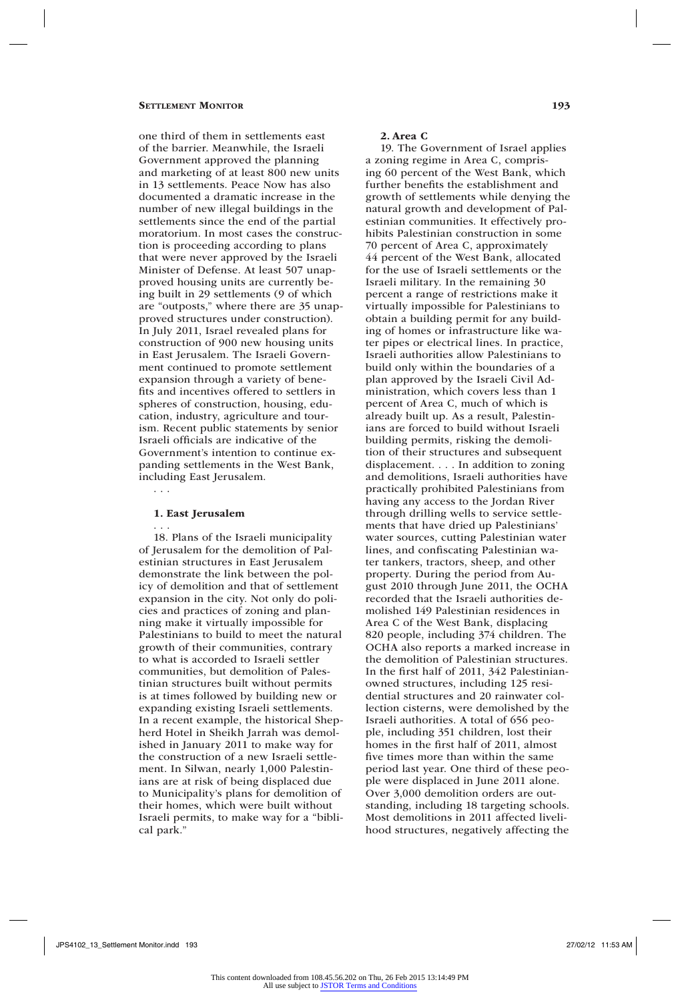one third of them in settlements east of the barrier. Meanwhile, the Israeli Government approved the planning and marketing of at least 800 new units in 13 settlements. Peace Now has also documented a dramatic increase in the number of new illegal buildings in the settlements since the end of the partial moratorium. In most cases the construction is proceeding according to plans that were never approved by the Israeli Minister of Defense. At least 507 unapproved housing units are currently being built in 29 settlements (9 of which are "outposts," where there are 35 unapproved structures under construction). In July 2011, Israel revealed plans for construction of 900 new housing units in East Jerusalem. The Israeli Government continued to promote settlement expansion through a variety of benefits and incentives offered to settlers in spheres of construction, housing, education, industry, agriculture and tourism. Recent public statements by senior Israeli officials are indicative of the Government's intention to continue expanding settlements in the West Bank, including East Jerusalem.

#### 1. East Jerusalem

. . .

. . . 18. Plans of the Israeli municipality of Jerusalem for the demolition of Palestinian structures in East Jerusalem demonstrate the link between the policy of demolition and that of settlement expansion in the city. Not only do policies and practices of zoning and planning make it virtually impossible for Palestinians to build to meet the natural growth of their communities, contrary to what is accorded to Israeli settler communities, but demolition of Palestinian structures built without permits is at times followed by building new or expanding existing Israeli settlements. In a recent example, the historical Shepherd Hotel in Sheikh Jarrah was demolished in January 2011 to make way for the construction of a new Israeli settlement. In Silwan, nearly 1,000 Palestinians are at risk of being displaced due to Municipality's plans for demolition of their homes, which were built without Israeli permits, to make way for a "biblical park."

#### 2. Area C

19. The Government of Israel applies a zoning regime in Area C, comprising 60 percent of the West Bank, which further benefits the establishment and growth of settlements while denying the natural growth and development of Palestinian communities. It effectively prohibits Palestinian construction in some 70 percent of Area C, approximately 44 percent of the West Bank, allocated for the use of Israeli settlements or the Israeli military. In the remaining 30 percent a range of restrictions make it virtually impossible for Palestinians to obtain a building permit for any building of homes or infrastructure like water pipes or electrical lines. In practice, Israeli authorities allow Palestinians to build only within the boundaries of a plan approved by the Israeli Civil Administration, which covers less than 1 percent of Area C, much of which is already built up. As a result, Palestinians are forced to build without Israeli building permits, risking the demolition of their structures and subsequent displacement. . . . In addition to zoning and demolitions, Israeli authorities have practically prohibited Palestinians from having any access to the Jordan River through drilling wells to service settlements that have dried up Palestinians' water sources, cutting Palestinian water lines, and confiscating Palestinian water tankers, tractors, sheep, and other property. During the period from August 2010 through June 2011, the OCHA recorded that the Israeli authorities demolished 149 Palestinian residences in Area C of the West Bank, displacing 820 people, including 374 children. The OCHA also reports a marked increase in the demolition of Palestinian structures. In the first half of 2011, 342 Palestinianowned structures, including 125 residential structures and 20 rainwater collection cisterns, were demolished by the Israeli authorities. A total of 656 people, including 351 children, lost their homes in the first half of 2011, almost five times more than within the same period last year. One third of these people were displaced in June 2011 alone. Over 3,000 demolition orders are outstanding, including 18 targeting schools. Most demolitions in 2011 affected livelihood structures, negatively affecting the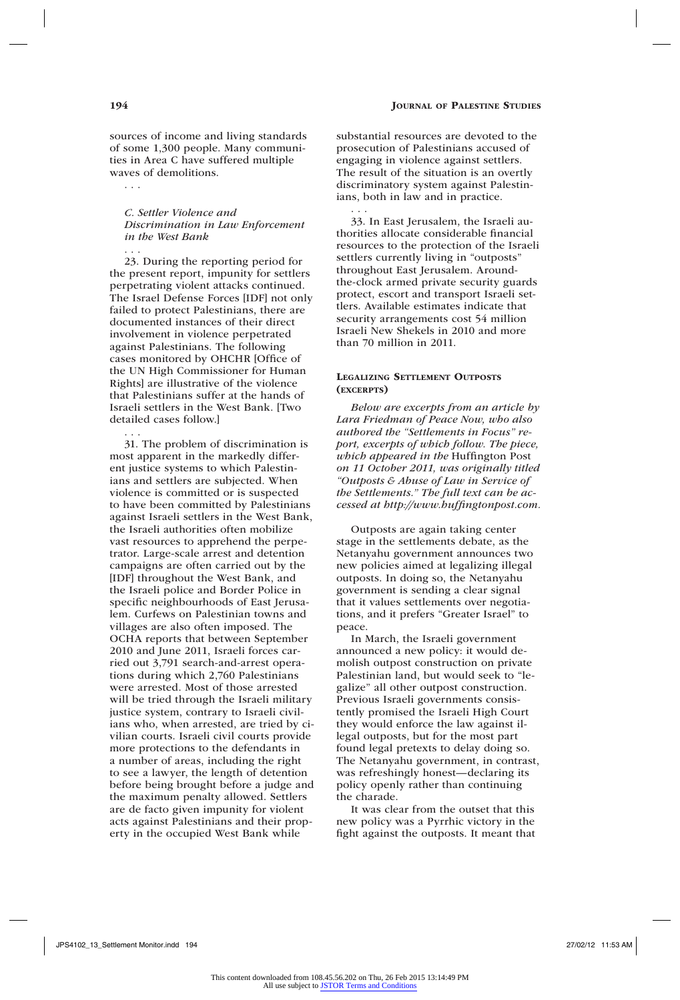sources of income and living standards of some 1,300 people. Many communities in Area C have suffered multiple waves of demolitions.

*C. Settler Violence and Discrimination in Law Enforcement in the West Bank* 

. . . 23. During the reporting period for the present report, impunity for settlers perpetrating violent attacks continued. The Israel Defense Forces [IDF] not only failed to protect Palestinians, there are documented instances of their direct involvement in violence perpetrated against Palestinians. The following cases monitored by OHCHR [Office of the UN High Commissioner for Human Rights] are illustrative of the violence that Palestinians suffer at the hands of Israeli settlers in the West Bank. [Two detailed cases follow.]

. . . 31. The problem of discrimination is most apparent in the markedly different justice systems to which Palestinians and settlers are subjected. When violence is committed or is suspected to have been committed by Palestinians against Israeli settlers in the West Bank, the Israeli authorities often mobilize vast resources to apprehend the perpetrator. Large-scale arrest and detention campaigns are often carried out by the [IDF] throughout the West Bank, and the Israeli police and Border Police in specific neighbourhoods of East Jerusalem. Curfews on Palestinian towns and villages are also often imposed. The OCHA reports that between September 2010 and June 2011, Israeli forces carried out 3,791 search-and-arrest operations during which 2,760 Palestinians were arrested. Most of those arrested will be tried through the Israeli military justice system, contrary to Israeli civilians who, when arrested, are tried by civilian courts. Israeli civil courts provide more protections to the defendants in a number of areas, including the right to see a lawyer, the length of detention before being brought before a judge and the maximum penalty allowed. Settlers are de facto given impunity for violent acts against Palestinians and their property in the occupied West Bank while

substantial resources are devoted to the prosecution of Palestinians accused of engaging in violence against settlers. The result of the situation is an overtly discriminatory system against Palestinians, both in law and in practice.

. . . 33. In East Jerusalem, the Israeli authorities allocate considerable financial resources to the protection of the Israeli settlers currently living in "outposts" throughout East Jerusalem. Aroundthe-clock armed private security guards protect, escort and transport Israeli settlers. Available estimates indicate that security arrangements cost 54 million Israeli New Shekels in 2010 and more than 70 million in 2011.

## Legalizing Settlement Outposts (excerpts)

*Below are excerpts from an article by Lara Friedman of Peace Now, who also authored the "Settlements in Focus" report, excerpts of which follow. The piece, which appeared in the* Huffington Post *on 11 October 2011, was originally titled "Outposts & Abuse of Law in Service of the Settlements." The full text can be accessed at http://www.huffingtonpost.com.*

Outposts are again taking center stage in the settlements debate, as the Netanyahu government announces two new policies aimed at legalizing illegal outposts. In doing so, the Netanyahu government is sending a clear signal that it values settlements over negotiations, and it prefers "Greater Israel" to peace.

In March, the Israeli government announced a new policy: it would demolish outpost construction on private Palestinian land, but would seek to "legalize" all other outpost construction. Previous Israeli governments consistently promised the Israeli High Court they would enforce the law against illegal outposts, but for the most part found legal pretexts to delay doing so. The Netanyahu government, in contrast, was refreshingly honest—declaring its policy openly rather than continuing the charade.

It was clear from the outset that this new policy was a Pyrrhic victory in the fight against the outposts. It meant that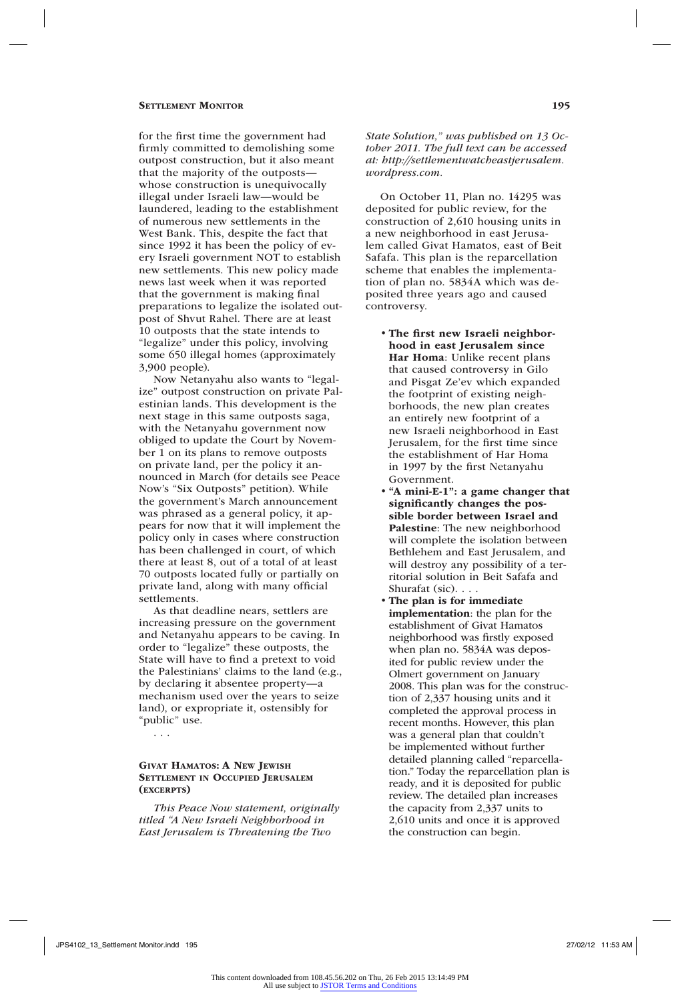for the first time the government had firmly committed to demolishing some outpost construction, but it also meant that the majority of the outposts whose construction is unequivocally illegal under Israeli law—would be laundered, leading to the establishment of numerous new settlements in the West Bank. This, despite the fact that since 1992 it has been the policy of every Israeli government NOT to establish new settlements. This new policy made news last week when it was reported that the government is making final preparations to legalize the isolated outpost of Shvut Rahel. There are at least 10 outposts that the state intends to "legalize" under this policy, involving some 650 illegal homes (approximately 3,900 people).

Now Netanyahu also wants to "legalize" outpost construction on private Palestinian lands. This development is the next stage in this same outposts saga, with the Netanyahu government now obliged to update the Court by November 1 on its plans to remove outposts on private land, per the policy it announced in March (for details see Peace Now's "Six Outposts" petition). While the government's March announcement was phrased as a general policy, it appears for now that it will implement the policy only in cases where construction has been challenged in court, of which there at least 8, out of a total of at least 70 outposts located fully or partially on private land, along with many official settlements.

As that deadline nears, settlers are increasing pressure on the government and Netanyahu appears to be caving. In order to "legalize" these outposts, the State will have to find a pretext to void the Palestinians' claims to the land (e.g., by declaring it absentee property—a mechanism used over the years to seize land), or expropriate it, ostensibly for "public" use.

. . .

## Givat Hamatos: A New Jewish Settlement in Occupied Jerusalem (excerpts)

*This Peace Now statement, originally titled "A New Israeli Neighborhood in East Jerusalem is Threatening the Two* 

*State Solution," was published on 13 October 2011. The full text can be accessed at: http://settlementwatcheastjerusalem. wordpress.com.*

On October 11, Plan no. 14295 was deposited for public review, for the construction of 2,610 housing units in a new neighborhood in east Jerusalem called Givat Hamatos, east of Beit Safafa. This plan is the reparcellation scheme that enables the implementation of plan no. 5834A which was deposited three years ago and caused controversy.

- The first new Israeli neighborhood in east Jerusalem since Har Homa: Unlike recent plans that caused controversy in Gilo and Pisgat Ze'ev which expanded the footprint of existing neighborhoods, the new plan creates an entirely new footprint of a new Israeli neighborhood in East Jerusalem, for the first time since the establishment of Har Homa in 1997 by the first Netanyahu Government.
- "A mini-E-1": a game changer that significantly changes the possible border between Israel and Palestine: The new neighborhood will complete the isolation between Bethlehem and East Jerusalem, and will destroy any possibility of a territorial solution in Beit Safafa and Shurafat (sic). . . .
- The plan is for immediate implementation: the plan for the establishment of Givat Hamatos neighborhood was firstly exposed when plan no. 5834A was deposited for public review under the Olmert government on January 2008. This plan was for the construction of 2,337 housing units and it completed the approval process in recent months. However, this plan was a general plan that couldn't be implemented without further detailed planning called "reparcellation." Today the reparcellation plan is ready, and it is deposited for public review. The detailed plan increases the capacity from 2,337 units to 2,610 units and once it is approved the construction can begin.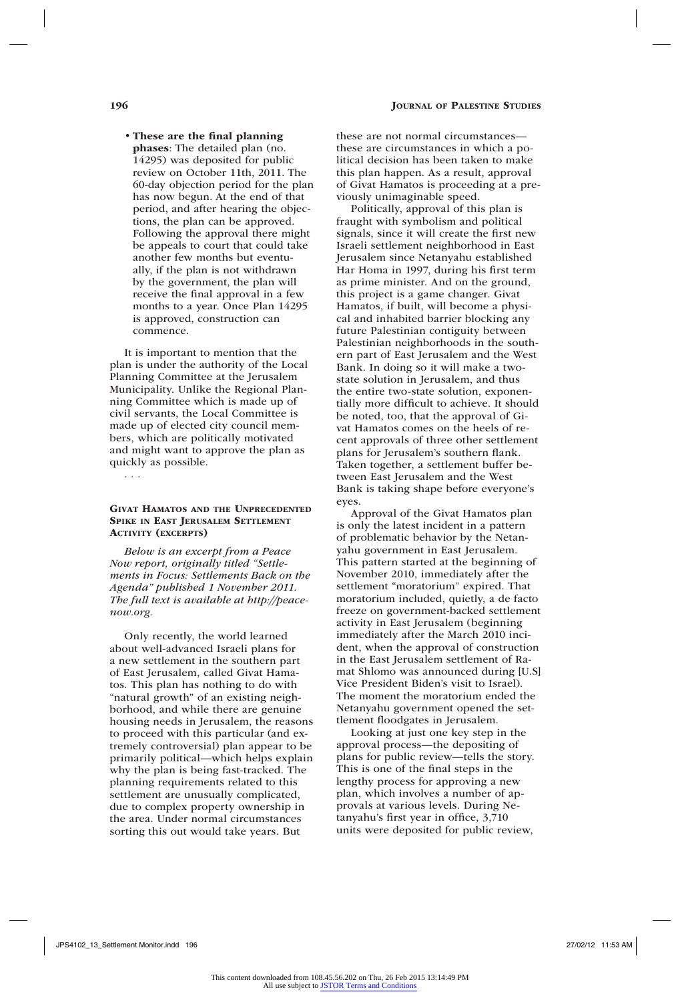#### • These are the final planning

phases: The detailed plan (no. 14295) was deposited for public review on October 11th, 2011. The 60-day objection period for the plan has now begun. At the end of that period, and after hearing the objections, the plan can be approved. Following the approval there might be appeals to court that could take another few months but eventually, if the plan is not withdrawn by the government, the plan will receive the final approval in a few months to a year. Once Plan 14295 is approved, construction can commence.

It is important to mention that the plan is under the authority of the Local Planning Committee at the Jerusalem Municipality. Unlike the Regional Planning Committee which is made up of civil servants, the Local Committee is made up of elected city council members, which are politically motivated and might want to approve the plan as quickly as possible.

. . .

## Givat Hamatos and the Unprecedented Spike in East Jerusalem Settlement ACTIVITY (EXCERPTS)

*Below is an excerpt from a Peace Now report, originally titled "Settlements in Focus: Settlements Back on the Agenda" published 1 November 2011. The full text is available at http://peacenow.org.*

Only recently, the world learned about well-advanced Israeli plans for a new settlement in the southern part of East Jerusalem, called Givat Hamatos. This plan has nothing to do with "natural growth" of an existing neighborhood, and while there are genuine housing needs in Jerusalem, the reasons to proceed with this particular (and extremely controversial) plan appear to be primarily political—which helps explain why the plan is being fast-tracked. The planning requirements related to this settlement are unusually complicated, due to complex property ownership in the area. Under normal circumstances sorting this out would take years. But

these are not normal circumstances these are circumstances in which a political decision has been taken to make this plan happen. As a result, approval of Givat Hamatos is proceeding at a previously unimaginable speed.

Politically, approval of this plan is fraught with symbolism and political signals, since it will create the first new Israeli settlement neighborhood in East Jerusalem since Netanyahu established Har Homa in 1997, during his first term as prime minister. And on the ground, this project is a game changer. Givat Hamatos, if built, will become a physical and inhabited barrier blocking any future Palestinian contiguity between Palestinian neighborhoods in the southern part of East Jerusalem and the West Bank. In doing so it will make a twostate solution in Jerusalem, and thus the entire two-state solution, exponentially more difficult to achieve. It should be noted, too, that the approval of Givat Hamatos comes on the heels of recent approvals of three other settlement plans for Jerusalem's southern flank. Taken together, a settlement buffer between East Jerusalem and the West Bank is taking shape before everyone's eyes.

Approval of the Givat Hamatos plan is only the latest incident in a pattern of problematic behavior by the Netanyahu government in East Jerusalem. This pattern started at the beginning of November 2010, immediately after the settlement "moratorium" expired. That moratorium included, quietly, a de facto freeze on government-backed settlement activity in East Jerusalem (beginning immediately after the March 2010 incident, when the approval of construction in the East Jerusalem settlement of Ramat Shlomo was announced during [U.S] Vice President Biden's visit to Israel). The moment the moratorium ended the Netanyahu government opened the settlement floodgates in Jerusalem.

Looking at just one key step in the approval process—the depositing of plans for public review—tells the story. This is one of the final steps in the lengthy process for approving a new plan, which involves a number of approvals at various levels. During Netanyahu's first year in office, 3,710 units were deposited for public review,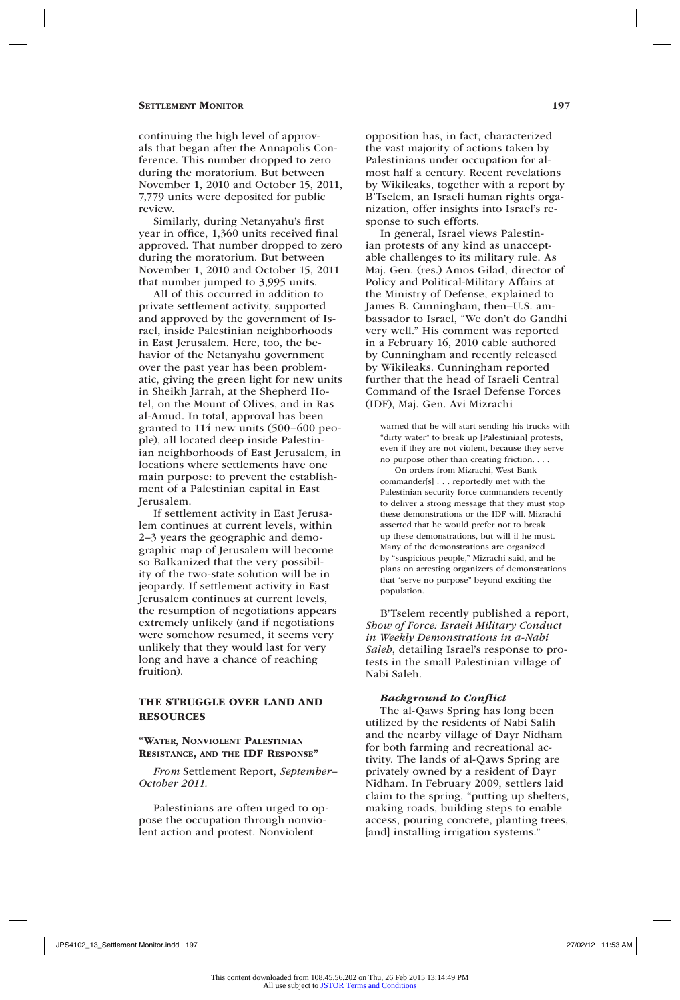continuing the high level of approvals that began after the Annapolis Conference. This number dropped to zero during the moratorium. But between November 1, 2010 and October 15, 2011, 7,779 units were deposited for public review.

Similarly, during Netanyahu's first year in office, 1,360 units received final approved. That number dropped to zero during the moratorium. But between November 1, 2010 and October 15, 2011 that number jumped to 3,995 units.

All of this occurred in addition to private settlement activity, supported and approved by the government of Israel, inside Palestinian neighborhoods in East Jerusalem. Here, too, the behavior of the Netanyahu government over the past year has been problematic, giving the green light for new units in Sheikh Jarrah, at the Shepherd Hotel, on the Mount of Olives, and in Ras al-Amud. In total, approval has been granted to 114 new units (500–600 people), all located deep inside Palestinian neighborhoods of East Jerusalem, in locations where settlements have one main purpose: to prevent the establishment of a Palestinian capital in East Jerusalem.

If settlement activity in East Jerusalem continues at current levels, within 2–3 years the geographic and demographic map of Jerusalem will become so Balkanized that the very possibility of the two-state solution will be in jeopardy. If settlement activity in East Jerusalem continues at current levels, the resumption of negotiations appears extremely unlikely (and if negotiations were somehow resumed, it seems very unlikely that they would last for very long and have a chance of reaching fruition).

## THE STRUGGLE OVER LAND and Resources

## "Water, Nonviolent Palestinian Resistance, and the IDF Response"

*From* Settlement Report, *September– October 2011.*

Palestinians are often urged to oppose the occupation through nonviolent action and protest. Nonviolent

opposition has, in fact, characterized the vast majority of actions taken by Palestinians under occupation for almost half a century. Recent revelations by Wikileaks, together with a report by B'Tselem, an Israeli human rights organization, offer insights into Israel's response to such efforts.

In general, Israel views Palestinian protests of any kind as unacceptable challenges to its military rule. As Maj. Gen. (res.) Amos Gilad, director of Policy and Political-Military Affairs at the Ministry of Defense, explained to James B. Cunningham, then–U.S. ambassador to Israel, "We don't do Gandhi very well." His comment was reported in a February 16, 2010 cable authored by Cunningham and recently released by Wikileaks. Cunningham reported further that the head of Israeli Central Command of the Israel Defense Forces (IDF), Maj. Gen. Avi Mizrachi

warned that he will start sending his trucks with "dirty water" to break up [Palestinian] protests, even if they are not violent, because they serve no purpose other than creating friction. . . .

On orders from Mizrachi, West Bank commander[s] . . . reportedly met with the Palestinian security force commanders recently to deliver a strong message that they must stop these demonstrations or the IDF will. Mizrachi asserted that he would prefer not to break up these demonstrations, but will if he must. Many of the demonstrations are organized by "suspicious people," Mizrachi said, and he plans on arresting organizers of demonstrations that "serve no purpose" beyond exciting the population.

B'Tselem recently published a report, *Show of Force: Israeli Military Conduct in Weekly Demonstrations in a-Nabi Saleh*, detailing Israel's response to protests in the small Palestinian village of Nabi Saleh.

## *Background to Conflict*

The al-Qaws Spring has long been utilized by the residents of Nabi Salih and the nearby village of Dayr Nidham for both farming and recreational activity. The lands of al-Qaws Spring are privately owned by a resident of Dayr Nidham. In February 2009, settlers laid claim to the spring, "putting up shelters, making roads, building steps to enable access, pouring concrete, planting trees, [and] installing irrigation systems.'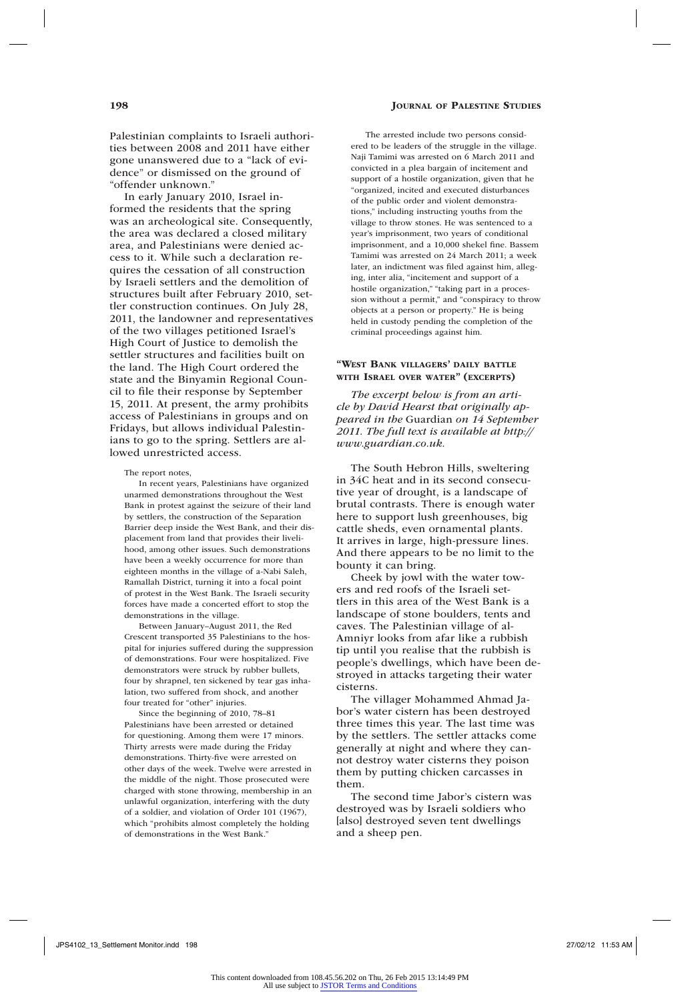Palestinian complaints to Israeli authorities between 2008 and 2011 have either gone unanswered due to a "lack of evidence" or dismissed on the ground of "offender unknown."

In early January 2010, Israel informed the residents that the spring was an archeological site. Consequently, the area was declared a closed military area, and Palestinians were denied access to it. While such a declaration requires the cessation of all construction by Israeli settlers and the demolition of structures built after February 2010, settler construction continues. On July 28, 2011, the landowner and representatives of the two villages petitioned Israel's High Court of Justice to demolish the settler structures and facilities built on the land. The High Court ordered the state and the Binyamin Regional Council to file their response by September 15, 2011. At present, the army prohibits access of Palestinians in groups and on Fridays, but allows individual Palestinians to go to the spring. Settlers are allowed unrestricted access.

#### The report notes,

In recent years, Palestinians have organized unarmed demonstrations throughout the West Bank in protest against the seizure of their land by settlers, the construction of the Separation Barrier deep inside the West Bank, and their displacement from land that provides their livelihood, among other issues. Such demonstrations have been a weekly occurrence for more than eighteen months in the village of a-Nabi Saleh, Ramallah District, turning it into a focal point of protest in the West Bank. The Israeli security forces have made a concerted effort to stop the demonstrations in the village.

Between January–August 2011, the Red Crescent transported 35 Palestinians to the hospital for injuries suffered during the suppression of demonstrations. Four were hospitalized. Five demonstrators were struck by rubber bullets, four by shrapnel, ten sickened by tear gas inhalation, two suffered from shock, and another four treated for "other" injuries.

Since the beginning of 2010, 78–81 Palestinians have been arrested or detained for questioning. Among them were 17 minors. Thirty arrests were made during the Friday demonstrations. Thirty-five were arrested on other days of the week. Twelve were arrested in the middle of the night. Those prosecuted were charged with stone throwing, membership in an unlawful organization, interfering with the duty of a soldier, and violation of Order 101 (1967), which "prohibits almost completely the holding of demonstrations in the West Bank."

The arrested include two persons considered to be leaders of the struggle in the village. Naji Tamimi was arrested on 6 March 2011 and convicted in a plea bargain of incitement and support of a hostile organization, given that he "organized, incited and executed disturbances of the public order and violent demonstrations," including instructing youths from the village to throw stones. He was sentenced to a year's imprisonment, two years of conditional imprisonment, and a 10,000 shekel fine. Bassem Tamimi was arrested on 24 March 2011; a week later, an indictment was filed against him, alleging, inter alia, "incitement and support of a hostile organization," "taking part in a procession without a permit," and "conspiracy to throw objects at a person or property." He is being held in custody pending the completion of the criminal proceedings against him.

### "West Bank villagers' daily battle with Israel over water" (excerpts)

*The excerpt below is from an article by David Hearst that originally appeared in the* Guardian *on 14 September 2011. The full text is available at http:// www.guardian.co.uk.*

The South Hebron Hills, sweltering in 34C heat and in its second consecutive year of drought, is a landscape of brutal contrasts. There is enough water here to support lush greenhouses, big cattle sheds, even ornamental plants. It arrives in large, high-pressure lines. And there appears to be no limit to the bounty it can bring.

Cheek by jowl with the water towers and red roofs of the Israeli settlers in this area of the West Bank is a landscape of stone boulders, tents and caves. The Palestinian village of al-Amniyr looks from afar like a rubbish tip until you realise that the rubbish is people's dwellings, which have been destroyed in attacks targeting their water cisterns.

The villager Mohammed Ahmad Jabor's water cistern has been destroyed three times this year. The last time was by the settlers. The settler attacks come generally at night and where they cannot destroy water cisterns they poison them by putting chicken carcasses in them.

The second time Jabor's cistern was destroyed was by Israeli soldiers who [also] destroyed seven tent dwellings and a sheep pen.